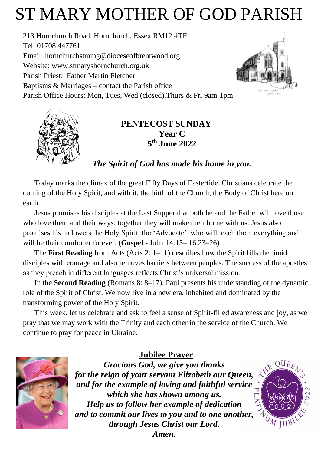# ST MARY MOTHER OF GOD PARISH

213 Hornchurch Road, Hornchurch, Essex RM12 4TF Tel: 01708 447761 Email: [hornchurchstmmg@dioceseofbrentwood.org](mailto:hornchurchstmmg@dioceseofbrentwood.org) Website: [www.stmaryshornchurch.org.uk](http://www.stmaryshornchurch.org.uk/) Parish Priest: Father Martin Fletcher Baptisms & Marriages – contact the Parish office Parish Office Hours: Mon, Tues, Wed (closed),Thurs & Fri 9am-1pm





## **PENTECOST SUNDAY Year C 5 th June 2022**

# *The Spirit of God has made his home in you.*

Today marks the climax of the great Fifty Days of Eastertide. Christians celebrate the coming of the Holy Spirit, and with it, the birth of the Church, the Body of Christ here on earth.

Jesus promises his disciples at the Last Supper that both he and the Father will love those who love them and their ways: together they will make their home with us. Jesus also promises his followers the Holy Spirit, the 'Advocate', who will teach them everything and will be their comforter forever. (**Gospel** - John 14:15– 16.23–26)

The **First Reading** from Acts (Acts 2: 1–11) describes how the Spirit fills the timid disciples with courage and also removes barriers between peoples. The success of the apostles as they preach in different languages reflects Christ's universal mission.

In the **Second Reading** (Romans 8: 8–17), Paul presents his understanding of the dynamic role of the Spirit of Christ. We now live in a new era, inhabited and dominated by the transforming power of the Holy Spirit.

This week, let us celebrate and ask to feel a sense of Spirit-filled awareness and joy, as we pray that we may work with the Trinity and each other in the service of the Church. We continue to pray for peace in Ukraine.



**Jubilee Prayer**

*Gracious God, we give you thanks for the reign of your servant Elizabeth our Queen, and for the example of loving and faithful service which she has shown among us. Help us to follow her example of dedication and to commit our lives to you and to one another, through Jesus Christ our Lord.*



*Amen.*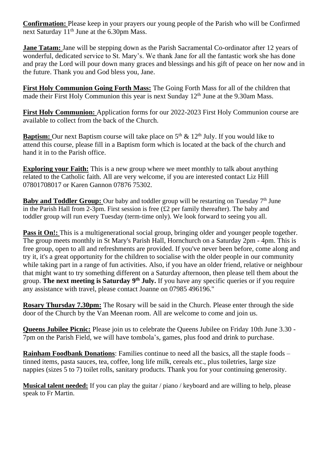**Confirmation:** Please keep in your prayers our young people of the Parish who will be Confirmed next Saturday 11th June at the 6.30pm Mass.

**Jane Tatam:** Jane will be stepping down as the Parish Sacramental Co-ordinator after 12 years of wonderful, dedicated service to St. Mary's. We thank Jane for all the fantastic work she has done and pray the Lord will pour down many graces and blessings and his gift of peace on her now and in the future. Thank you and God bless you, Jane.

**First Holy Communion Going Forth Mass:** The Going Forth Mass for all of the children that made their First Holy Communion this year is next Sunday  $12<sup>th</sup>$  June at the 9.30am Mass.

**First Holy Communion:** Application forms for our 2022-2023 First Holy Communion course are available to collect from the back of the Church.

**Baptism:** Our next Baptism course will take place on 5<sup>th</sup> & 12<sup>th</sup> July. If you would like to attend this course, please fill in a Baptism form which is located at the back of the church and hand it in to the Parish office.

**Exploring your Faith:** This is a new group where we meet monthly to talk about anything related to the Catholic faith. All are very welcome, if you are interested contact Liz Hill 07801708017 or Karen Gannon 07876 75302.

**Baby and Toddler Group:** Our baby and toddler group will be restarting on Tuesday 7<sup>th</sup> June in the Parish Hall from 2-3pm. First session is free (£2 per family thereafter). The baby and toddler group will run every Tuesday (term-time only). We look forward to seeing you all.

**Pass it On!:** This is a multigenerational social group, bringing older and younger people together. The group meets monthly in St Mary's Parish Hall, Hornchurch on a Saturday 2pm - 4pm. This is free group, open to all and refreshments are provided. If you've never been before, come along and try it, it's a great opportunity for the children to socialise with the older people in our community while taking part in a range of fun activities. Also, if you have an older friend, relative or neighbour that might want to try something different on a Saturday afternoon, then please tell them about the group. The next meeting is Saturday 9<sup>th</sup> July. If you have any specific queries or if you require any assistance with travel, please contact Joanne on 07985 496196."

**Rosary Thursday 7.30pm:** The Rosary will be said in the Church. Please enter through the side door of the Church by the Van Meenan room. All are welcome to come and join us.

**Queens Jubilee Picnic:** Please join us to celebrate the Queens Jubilee on Friday 10th June 3.30 - 7pm on the Parish Field, we will have tombola's, games, plus food and drink to purchase.

**Rainham Foodbank Donations:** Families continue to need all the basics, all the staple foods – tinned items, pasta sauces, tea, coffee, long life milk, cereals etc., plus toiletries, large size nappies (sizes 5 to 7) toilet rolls, sanitary products. Thank you for your continuing generosity.

**Musical talent needed:** If you can play the guitar / piano / keyboard and are willing to help, please speak to Fr Martin.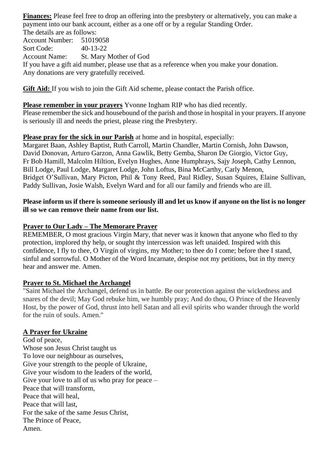**Finances:** Please feel free to drop an offering into the presbytery or alternatively, you can make a payment into our bank account, either as a one off or by a regular Standing Order. The details are as follows:

Account Number: 51019058 Sort Code: 40-13-22 Account Name: St. Mary Mother of God If you have a gift aid number, please use that as a reference when you make your donation. Any donations are very gratefully received.

**Gift Aid:** If you wish to join the Gift Aid scheme, please contact the Parish office.

**Please remember in your prayers** Yvonne Ingham RIP who has died recently. Please remember the sick and housebound of the parish and those in hospital in your prayers. If anyone is seriously ill and needs the priest, please ring the Presbytery.

### **Please pray for the sick in our Parish** at home and in hospital, especially:

Margaret Baan, Ashley Baptist, Ruth Carroll, Martin Chandler, Martin Cornish, John Dawson, David Donovan, Arturo Garzon, Anna Gawlik, Betty Gemba, Sharon De Giorgio, Victor Guy, Fr Bob Hamill, Malcolm Hiltion, Evelyn Hughes, Anne Humphrays, Sajy Joseph, Cathy Lennon, Bill Lodge, Paul Lodge, Margaret Lodge, John Loftus, Bina McCarthy, Carly Menon, Bridget O'Sullivan, Mary Picton, Phil & Tony Reed, Paul Ridley, Susan Squires, Elaine Sullivan, Paddy Sullivan, Josie Walsh, Evelyn Ward and for all our family and friends who are ill.

### **Please inform us if there is someone seriously ill and let us know if anyone on the list is no longer ill so we can remove their name from our list.**

## **Prayer to Our Lady – The Memorare Prayer**

REMEMBER, O most gracious Virgin Mary, that never was it known that anyone who fled to thy protection, implored thy help, or sought thy intercession was left unaided. Inspired with this confidence, I fly to thee, O Virgin of virgins, my Mother; to thee do I come; before thee I stand, sinful and sorrowful. O Mother of the Word Incarnate, despise not my petitions, but in thy mercy hear and answer me. Amen.

#### **Prayer to St. Michael the Archangel**

"Saint Michael the Archangel, defend us in battle. Be our protection against the wickedness and snares of the devil; May God rebuke him, we humbly pray; And do thou, O Prince of the Heavenly Host, by the power of God, thrust into hell Satan and all evil spirits who wander through the world for the ruin of souls. Amen."

#### **A Prayer for Ukraine**

God of peace, Whose son Jesus Christ taught us To love our neighbour as ourselves, Give your strength to the people of Ukraine, Give your wisdom to the leaders of the world, Give your love to all of us who pray for peace – Peace that will transform, Peace that will heal, Peace that will last, For the sake of the same Jesus Christ, The Prince of Peace, Amen.